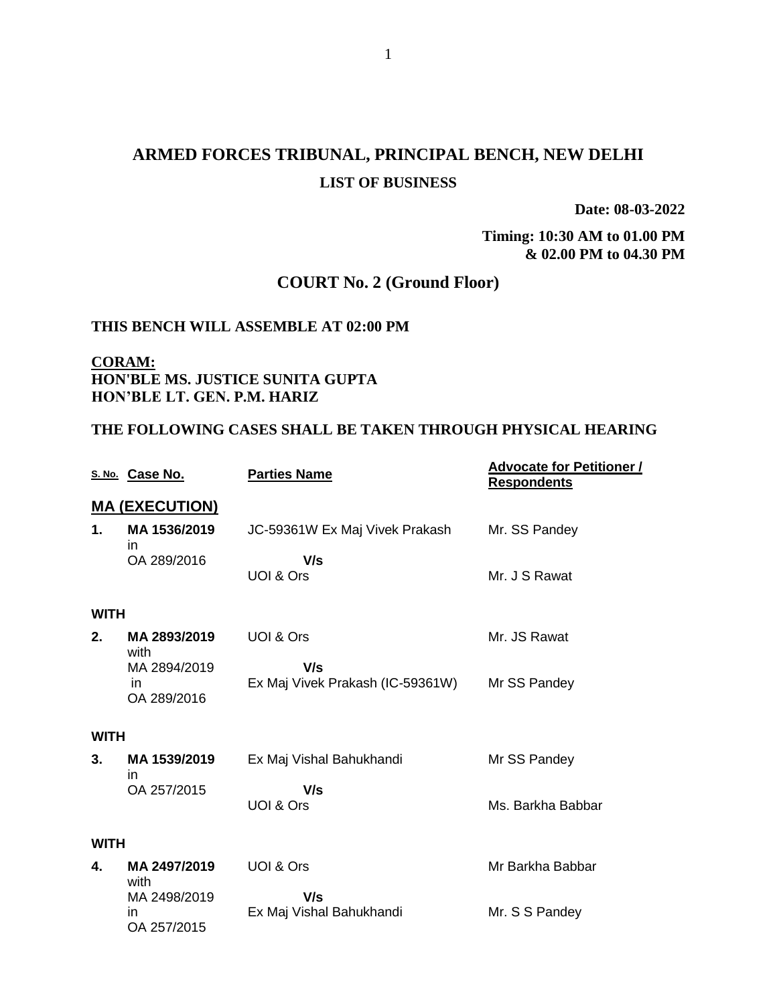# **ARMED FORCES TRIBUNAL, PRINCIPAL BENCH, NEW DELHI LIST OF BUSINESS**

**Date: 08-03-2022**

**Timing: 10:30 AM to 01.00 PM & 02.00 PM to 04.30 PM**

# **COURT No. 2 (Ground Floor)**

#### **THIS BENCH WILL ASSEMBLE AT 02:00 PM**

**CORAM: HON'BLE MS. JUSTICE SUNITA GUPTA HON'BLE LT. GEN. P.M. HARIZ** 

OA 257/2015

#### **THE FOLLOWING CASES SHALL BE TAKEN THROUGH PHYSICAL HEARING**

|             | S. No. Case No.       | <b>Parties Name</b>              | <b>Advocate for Petitioner /</b><br><b>Respondents</b> |
|-------------|-----------------------|----------------------------------|--------------------------------------------------------|
|             | <b>MA (EXECUTION)</b> |                                  |                                                        |
| 1.          | MA 1536/2019<br>in    | JC-59361W Ex Maj Vivek Prakash   | Mr. SS Pandey                                          |
|             | OA 289/2016           | V/s                              |                                                        |
|             |                       | UOI & Ors                        | Mr. J S Rawat                                          |
| <b>WITH</b> |                       |                                  |                                                        |
| 2.          | MA 2893/2019<br>with  | UOI & Ors                        | Mr. JS Rawat                                           |
|             | MA 2894/2019          | V/s                              |                                                        |
|             | in.                   | Ex Maj Vivek Prakash (IC-59361W) | Mr SS Pandey                                           |
|             | OA 289/2016           |                                  |                                                        |
| <b>WITH</b> |                       |                                  |                                                        |
| 3.          | MA 1539/2019<br>in    | Ex Maj Vishal Bahukhandi         | Mr SS Pandey                                           |
|             | OA 257/2015           | V/s                              |                                                        |
|             |                       | UOI & Ors                        | Ms. Barkha Babbar                                      |
| <b>WITH</b> |                       |                                  |                                                        |
| 4.          | MA 2497/2019<br>with  | UOI & Ors                        | Mr Barkha Babbar                                       |
|             | MA 2498/2019          | V/s                              |                                                        |
|             | in                    | Ex Maj Vishal Bahukhandi         | Mr. S S Pandey                                         |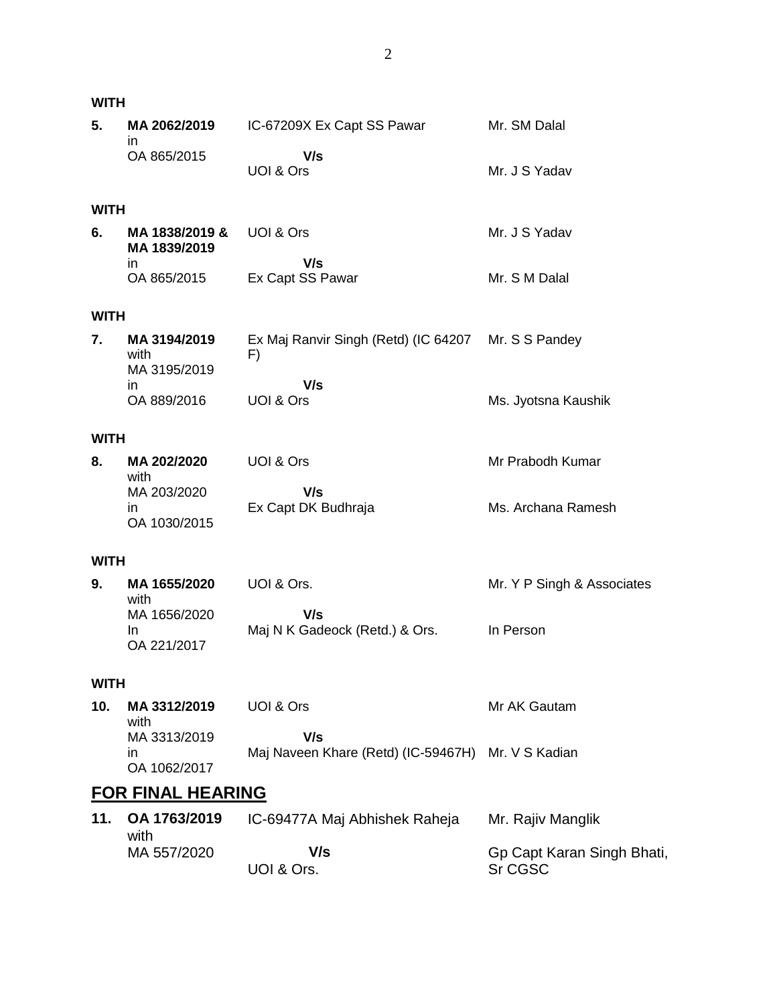|                          | WITH                                  |                                                           |                                       |  |  |  |
|--------------------------|---------------------------------------|-----------------------------------------------------------|---------------------------------------|--|--|--|
| 5.                       | MA 2062/2019<br>ın                    | IC-67209X Ex Capt SS Pawar                                | Mr. SM Dalal                          |  |  |  |
|                          | OA 865/2015                           | V/s<br>UOI & Ors                                          | Mr. J S Yadav                         |  |  |  |
| WITH                     |                                       |                                                           |                                       |  |  |  |
| 6.                       | MA 1838/2019 &<br>MA 1839/2019<br>in. | UOI & Ors<br>V/s                                          | Mr. J S Yadav                         |  |  |  |
|                          | OA 865/2015                           | Ex Capt SS Pawar                                          | Mr. S M Dalal                         |  |  |  |
| WITH                     |                                       |                                                           |                                       |  |  |  |
| 7.                       | MA 3194/2019<br>with<br>MA 3195/2019  | Ex Maj Ranvir Singh (Retd) (IC 64207 Mr. S S Pandey<br>F) |                                       |  |  |  |
|                          | in.<br>OA 889/2016                    | V/s<br>UOI & Ors                                          | Ms. Jyotsna Kaushik                   |  |  |  |
|                          | WITH                                  |                                                           |                                       |  |  |  |
| 8.                       | MA 202/2020<br>with                   | UOI & Ors                                                 | Mr Prabodh Kumar                      |  |  |  |
|                          | MA 203/2020<br>in.<br>OA 1030/2015    | V/s<br>Ex Capt DK Budhraja                                | Ms. Archana Ramesh                    |  |  |  |
| WITH                     |                                       |                                                           |                                       |  |  |  |
| 9.                       | MA 1655/2020<br>with                  | UOI & Ors.                                                | Mr. Y P Singh & Associates            |  |  |  |
|                          | MA 1656/2020<br>In.<br>OA 221/2017    | V/s<br>Maj N K Gadeock (Retd.) & Ors.                     | In Person                             |  |  |  |
| WITH                     |                                       |                                                           |                                       |  |  |  |
| 10.                      | MA 3312/2019<br>with                  | UOI & Ors                                                 | Mr AK Gautam                          |  |  |  |
|                          | MA 3313/2019<br>in.<br>OA 1062/2017   | V/s<br>Maj Naveen Khare (Retd) (IC-59467H) Mr. V S Kadian |                                       |  |  |  |
| <u>FOR FINAL HEARING</u> |                                       |                                                           |                                       |  |  |  |
| 11.                      | OA 1763/2019<br>with                  | IC-69477A Maj Abhishek Raheja                             | Mr. Rajiv Manglik                     |  |  |  |
|                          | MA 557/2020                           | V/s<br>UOI & Ors.                                         | Gp Capt Karan Singh Bhati,<br>Sr CGSC |  |  |  |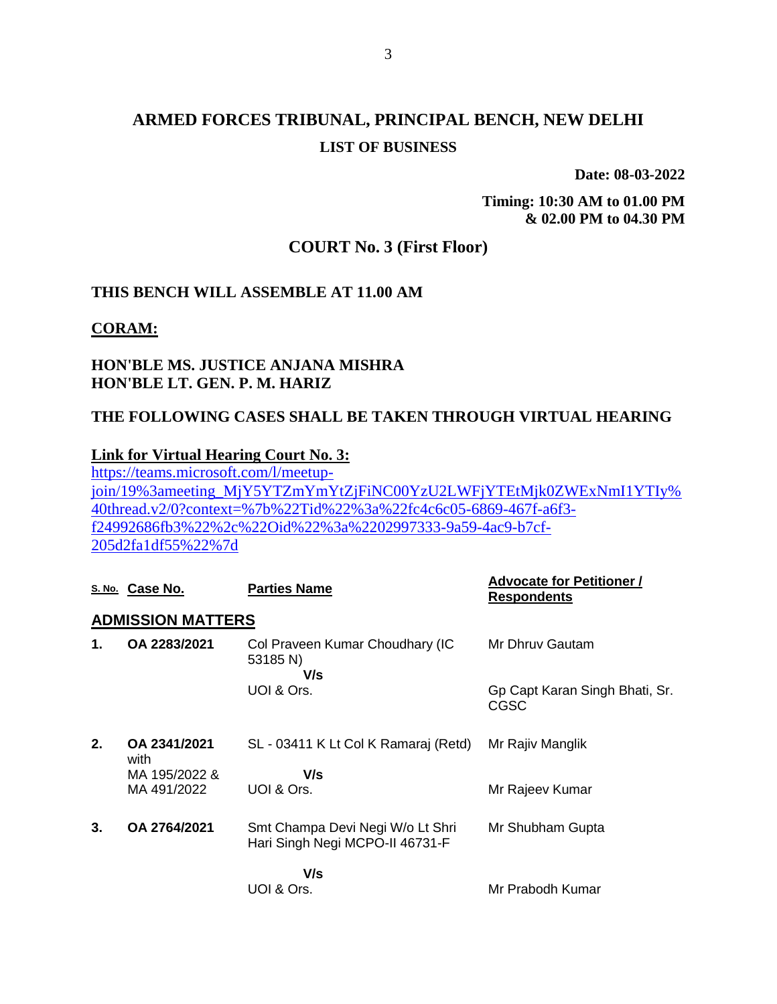# **ARMED FORCES TRIBUNAL, PRINCIPAL BENCH, NEW DELHI LIST OF BUSINESS**

**Date: 08-03-2022**

**Timing: 10:30 AM to 01.00 PM & 02.00 PM to 04.30 PM**

## **COURT No. 3 (First Floor)**

### **THIS BENCH WILL ASSEMBLE AT 11.00 AM**

**CORAM:**

## **HON'BLE MS. JUSTICE ANJANA MISHRA HON'BLE LT. GEN. P. M. HARIZ**

## **THE FOLLOWING CASES SHALL BE TAKEN THROUGH VIRTUAL HEARING**

### **Link for Virtual Hearing Court No. 3:**

[https://teams.microsoft.com/l/meetup](https://teams.microsoft.com/l/meetup-join/19%3ameeting_MjY5YTZmYmYtZjFiNC00YzU2LWFjYTEtMjk0ZWExNmI1YTIy%40thread.v2/0?context=%7b%22Tid%22%3a%22fc4c6c05-6869-467f-a6f3-f24992686fb3%22%2c%22Oid%22%3a%2202997333-9a59-4ac9-b7cf-205d2fa1df55%22%7d)[join/19%3ameeting\\_MjY5YTZmYmYtZjFiNC00YzU2LWFjYTEtMjk0ZWExNmI1YTIy%](https://teams.microsoft.com/l/meetup-join/19%3ameeting_MjY5YTZmYmYtZjFiNC00YzU2LWFjYTEtMjk0ZWExNmI1YTIy%40thread.v2/0?context=%7b%22Tid%22%3a%22fc4c6c05-6869-467f-a6f3-f24992686fb3%22%2c%22Oid%22%3a%2202997333-9a59-4ac9-b7cf-205d2fa1df55%22%7d) [40thread.v2/0?context=%7b%22Tid%22%3a%22fc4c6c05-6869-467f-a6f3](https://teams.microsoft.com/l/meetup-join/19%3ameeting_MjY5YTZmYmYtZjFiNC00YzU2LWFjYTEtMjk0ZWExNmI1YTIy%40thread.v2/0?context=%7b%22Tid%22%3a%22fc4c6c05-6869-467f-a6f3-f24992686fb3%22%2c%22Oid%22%3a%2202997333-9a59-4ac9-b7cf-205d2fa1df55%22%7d) [f24992686fb3%22%2c%22Oid%22%3a%2202997333-9a59-4ac9-b7cf-](https://teams.microsoft.com/l/meetup-join/19%3ameeting_MjY5YTZmYmYtZjFiNC00YzU2LWFjYTEtMjk0ZWExNmI1YTIy%40thread.v2/0?context=%7b%22Tid%22%3a%22fc4c6c05-6869-467f-a6f3-f24992686fb3%22%2c%22Oid%22%3a%2202997333-9a59-4ac9-b7cf-205d2fa1df55%22%7d)[205d2fa1df55%22%7d](https://teams.microsoft.com/l/meetup-join/19%3ameeting_MjY5YTZmYmYtZjFiNC00YzU2LWFjYTEtMjk0ZWExNmI1YTIy%40thread.v2/0?context=%7b%22Tid%22%3a%22fc4c6c05-6869-467f-a6f3-f24992686fb3%22%2c%22Oid%22%3a%2202997333-9a59-4ac9-b7cf-205d2fa1df55%22%7d)

| <b>ADMISSION MATTERS</b><br>OA 2283/2021<br>Mr Dhruy Gautam<br>Col Praveen Kumar Choudhary (IC<br>1.<br>53185 N)<br>V/s<br>UOI & Ors.<br>Gp Capt Karan Singh Bhati, Sr.<br>CGSC<br>2.<br>OA 2341/2021<br>SL - 03411 K Lt Col K Ramaraj (Retd)<br>Mr Rajiv Manglik |  |
|-------------------------------------------------------------------------------------------------------------------------------------------------------------------------------------------------------------------------------------------------------------------|--|
|                                                                                                                                                                                                                                                                   |  |
|                                                                                                                                                                                                                                                                   |  |
|                                                                                                                                                                                                                                                                   |  |
| with                                                                                                                                                                                                                                                              |  |
| V/s<br>MA 195/2022 &                                                                                                                                                                                                                                              |  |
| MA 491/2022<br>UOI & Ors.<br>Mr Rajeev Kumar                                                                                                                                                                                                                      |  |
| OA 2764/2021<br>3.<br>Smt Champa Devi Negi W/o Lt Shri<br>Mr Shubham Gupta<br>Hari Singh Negi MCPO-II 46731-F                                                                                                                                                     |  |
| V/s                                                                                                                                                                                                                                                               |  |
| Mr Prabodh Kumar<br>UOI & Ors.                                                                                                                                                                                                                                    |  |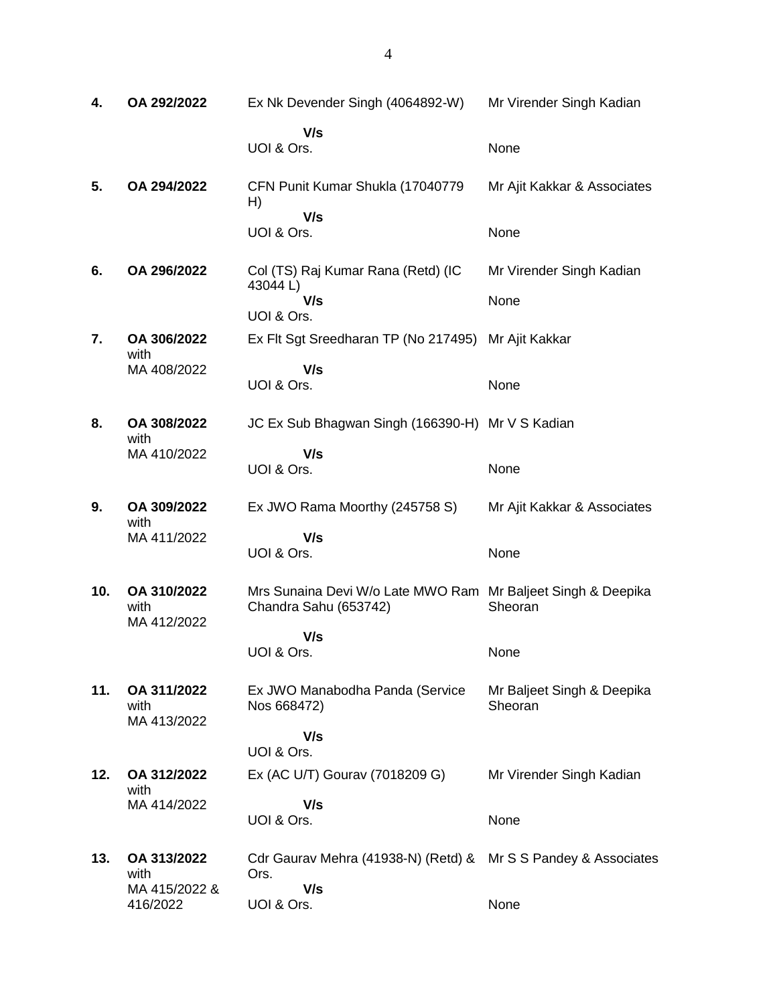| 4.  | OA 292/2022                        | Ex Nk Devender Singh (4064892-W)                                                      | Mr Virender Singh Kadian              |
|-----|------------------------------------|---------------------------------------------------------------------------------------|---------------------------------------|
|     |                                    | V/s                                                                                   |                                       |
|     |                                    | UOI & Ors.                                                                            | None                                  |
| 5.  | OA 294/2022                        | CFN Punit Kumar Shukla (17040779<br>H)                                                | Mr Ajit Kakkar & Associates           |
|     |                                    | V/s<br>UOI & Ors.                                                                     | None                                  |
| 6.  | OA 296/2022                        | Col (TS) Raj Kumar Rana (Retd) (IC<br>43044L)                                         | Mr Virender Singh Kadian              |
|     |                                    | V/s<br>UOI & Ors.                                                                     | None                                  |
| 7.  | OA 306/2022<br>with                | Ex Flt Sgt Sreedharan TP (No 217495)                                                  | Mr Ajit Kakkar                        |
|     | MA 408/2022                        | V/s<br>UOI & Ors.                                                                     | None                                  |
| 8.  | OA 308/2022<br>with                | JC Ex Sub Bhagwan Singh (166390-H) Mr V S Kadian                                      |                                       |
|     | MA 410/2022                        | V/s<br>UOI & Ors.                                                                     | None                                  |
| 9.  | OA 309/2022<br>with                | Ex JWO Rama Moorthy (245758 S)                                                        | Mr Ajit Kakkar & Associates           |
|     | MA 411/2022                        | V/s<br>UOI & Ors.                                                                     | None                                  |
| 10. | OA 310/2022<br>with<br>MA 412/2022 | Mrs Sunaina Devi W/o Late MWO Ram Mr Baljeet Singh & Deepika<br>Chandra Sahu (653742) | Sheoran                               |
|     |                                    | V/s<br>UOI & Ors.                                                                     | None                                  |
| 11. | OA 311/2022<br>with<br>MA 413/2022 | Ex JWO Manabodha Panda (Service<br>Nos 668472)                                        | Mr Baljeet Singh & Deepika<br>Sheoran |
|     |                                    | V/s<br>UOI & Ors.                                                                     |                                       |
| 12. | OA 312/2022<br>with                | Ex (AC U/T) Gourav (7018209 G)                                                        | Mr Virender Singh Kadian              |
|     | MA 414/2022                        | V/s<br>UOI & Ors.                                                                     | None                                  |
| 13. | OA 313/2022<br>with                | Cdr Gaurav Mehra (41938-N) (Retd) &<br>Ors.                                           | Mr S S Pandey & Associates            |
|     | MA 415/2022 &<br>416/2022          | V/s<br>UOI & Ors.                                                                     | None                                  |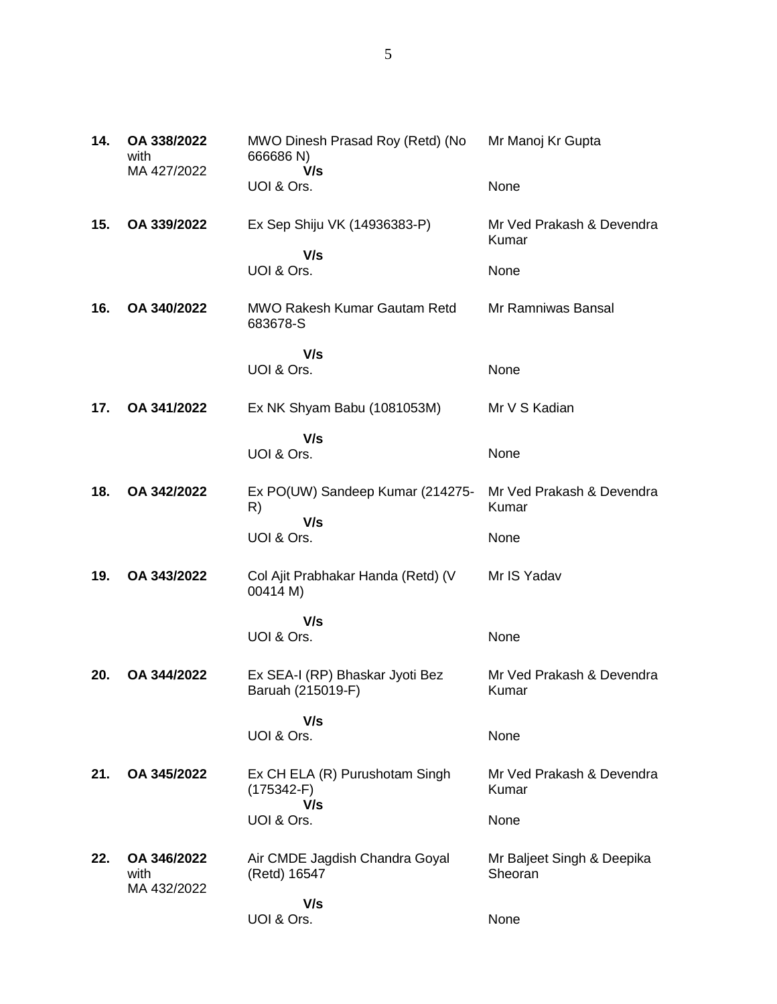| 14. | OA 338/2022<br>with<br>MA 427/2022 | MWO Dinesh Prasad Roy (Retd) (No<br>666686 N)<br>V/s  | Mr Manoj Kr Gupta                     |
|-----|------------------------------------|-------------------------------------------------------|---------------------------------------|
|     |                                    | UOI & Ors.                                            | None                                  |
| 15. | OA 339/2022                        | Ex Sep Shiju VK (14936383-P)                          | Mr Ved Prakash & Devendra<br>Kumar    |
|     |                                    | V/s<br>UOI & Ors.                                     | None                                  |
| 16. | OA 340/2022                        | <b>MWO Rakesh Kumar Gautam Retd</b><br>683678-S       | Mr Ramniwas Bansal                    |
|     |                                    | V/s<br>UOI & Ors.                                     | None                                  |
| 17. | OA 341/2022                        | Ex NK Shyam Babu (1081053M)                           | Mr V S Kadian                         |
|     |                                    | V/s<br>UOI & Ors.                                     | None                                  |
| 18. | OA 342/2022                        | Ex PO(UW) Sandeep Kumar (214275-<br>R)                | Mr Ved Prakash & Devendra<br>Kumar    |
|     |                                    | V/s<br>UOI & Ors.                                     | None                                  |
| 19. | OA 343/2022                        | Col Ajit Prabhakar Handa (Retd) (V<br>00414 M)        | Mr IS Yadav                           |
|     |                                    | V/s<br>UOI & Ors.                                     | None                                  |
| 20. | OA 344/2022                        | Ex SEA-I (RP) Bhaskar Jyoti Bez<br>Baruah (215019-F)  | Mr Ved Prakash & Devendra<br>Kumar    |
|     |                                    | V/s<br>UOI & Ors.                                     | None                                  |
| 21. | OA 345/2022                        | Ex CH ELA (R) Purushotam Singh<br>$(175342-F)$<br>V/s | Mr Ved Prakash & Devendra<br>Kumar    |
|     |                                    | UOI & Ors.                                            | None                                  |
| 22. | OA 346/2022<br>with<br>MA 432/2022 | Air CMDE Jagdish Chandra Goyal<br>(Retd) 16547        | Mr Baljeet Singh & Deepika<br>Sheoran |
|     |                                    | V/s<br>UOI & Ors.                                     | None                                  |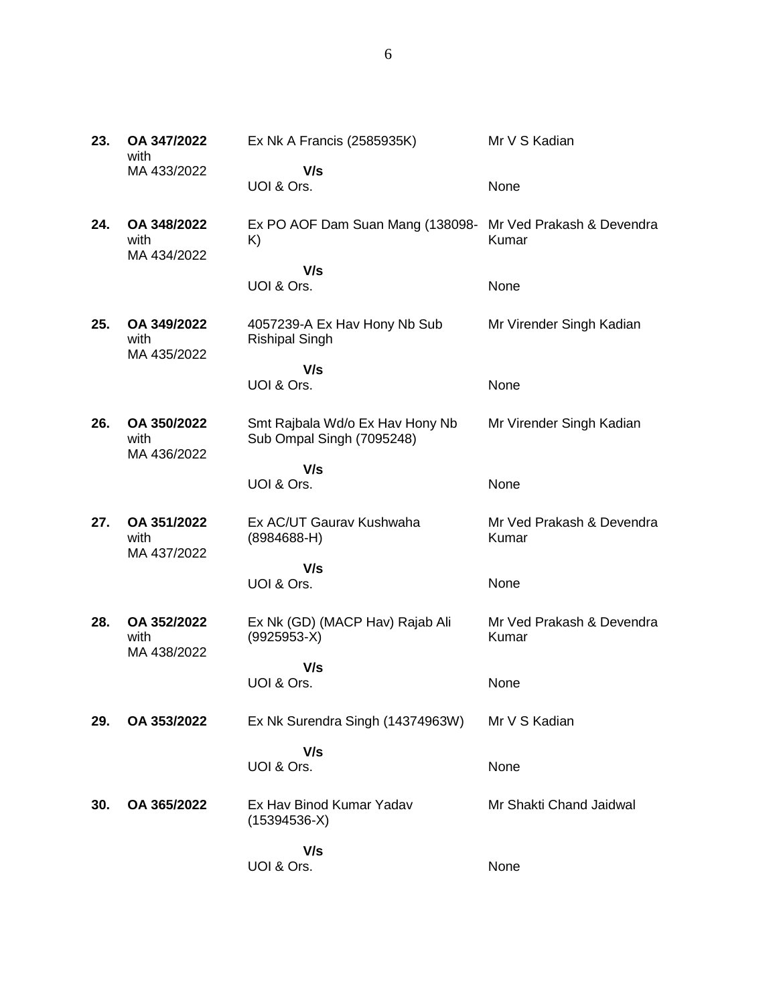| 23. | OA 347/2022<br>with                | Ex Nk A Francis (2585935K)                                       | Mr V S Kadian                      |
|-----|------------------------------------|------------------------------------------------------------------|------------------------------------|
|     | MA 433/2022                        | V/s<br>UOI & Ors.                                                | None                               |
| 24. | OA 348/2022<br>with<br>MA 434/2022 | Ex PO AOF Dam Suan Mang (138098- Mr Ved Prakash & Devendra<br>K) | Kumar                              |
|     |                                    | V/s<br>UOI & Ors.                                                | None                               |
| 25. | OA 349/2022<br>with<br>MA 435/2022 | 4057239-A Ex Hav Hony Nb Sub<br><b>Rishipal Singh</b>            | Mr Virender Singh Kadian           |
|     |                                    | V/s<br>UOI & Ors.                                                | None                               |
| 26. | OA 350/2022<br>with<br>MA 436/2022 | Smt Rajbala Wd/o Ex Hav Hony Nb<br>Sub Ompal Singh (7095248)     | Mr Virender Singh Kadian           |
|     |                                    | V/s<br>UOI & Ors.                                                | None                               |
| 27. | OA 351/2022<br>with<br>MA 437/2022 | Ex AC/UT Gaurav Kushwaha<br>$(8984688-H)$                        | Mr Ved Prakash & Devendra<br>Kumar |
|     |                                    | V/s<br>UOI & Ors.                                                | None                               |
| 28. | OA 352/2022<br>with<br>MA 438/2022 | Ex Nk (GD) (MACP Hav) Rajab Ali<br>$(9925953-X)$                 | Mr Ved Prakash & Devendra<br>Kumar |
|     |                                    | V/s<br>UOI & Ors.                                                | None                               |
| 29. | OA 353/2022                        | Ex Nk Surendra Singh (14374963W)                                 | Mr V S Kadian                      |
|     |                                    | V/s<br>UOI & Ors.                                                | None                               |
| 30. | OA 365/2022                        | Ex Hav Binod Kumar Yadav<br>$(15394536-X)$                       | Mr Shakti Chand Jaidwal            |
|     |                                    | V/s<br>UOI & Ors.                                                | None                               |

6